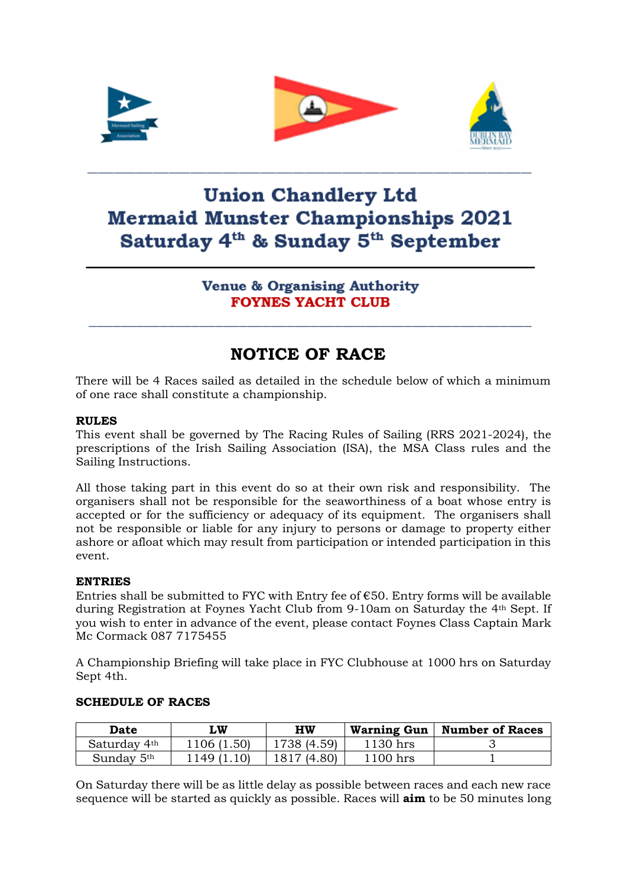





# **Union Chandlery Ltd Mermaid Munster Championships 2021** Saturday 4<sup>th</sup> & Sunday 5<sup>th</sup> September

**Venue & Organising Authority FOYNES YACHT CLUB** 

## **NOTICE OF RACE**

There will be 4 Races sailed as detailed in the schedule below of which a minimum of one race shall constitute a championship.

#### **RULES**

This event shall be governed by The Racing Rules of Sailing (RRS 2021-2024), the prescriptions of the Irish Sailing Association (ISA), the MSA Class rules and the Sailing Instructions.

All those taking part in this event do so at their own risk and responsibility. The organisers shall not be responsible for the seaworthiness of a boat whose entry is accepted or for the sufficiency or adequacy of its equipment. The organisers shall not be responsible or liable for any injury to persons or damage to property either ashore or afloat which may result from participation or intended participation in this event.

#### **ENTRIES**

Entries shall be submitted to FYC with Entry fee of  $\epsilon$ 50. Entry forms will be available during Registration at Foynes Yacht Club from 9-10am on Saturday the 4th Sept. If you wish to enter in advance of the event, please contact Foynes Class Captain Mark Mc Cormack 087 7175455

A Championship Briefing will take place in FYC Clubhouse at 1000 hrs on Saturday Sept 4th.

| Date                   | LW         | HW          | <b>Warning Gun</b> | <b>Number of Races</b> |
|------------------------|------------|-------------|--------------------|------------------------|
| Saturday 4th           | 1106(1.50) | 1738 (4.59) | 1130 hrs           |                        |
| Sunday 5 <sup>th</sup> | -149 (1.   | 1817 (4.80) | 1100 hrs           |                        |

#### **SCHEDULE OF RACES**

On Saturday there will be as little delay as possible between races and each new race sequence will be started as quickly as possible. Races will **aim** to be 50 minutes long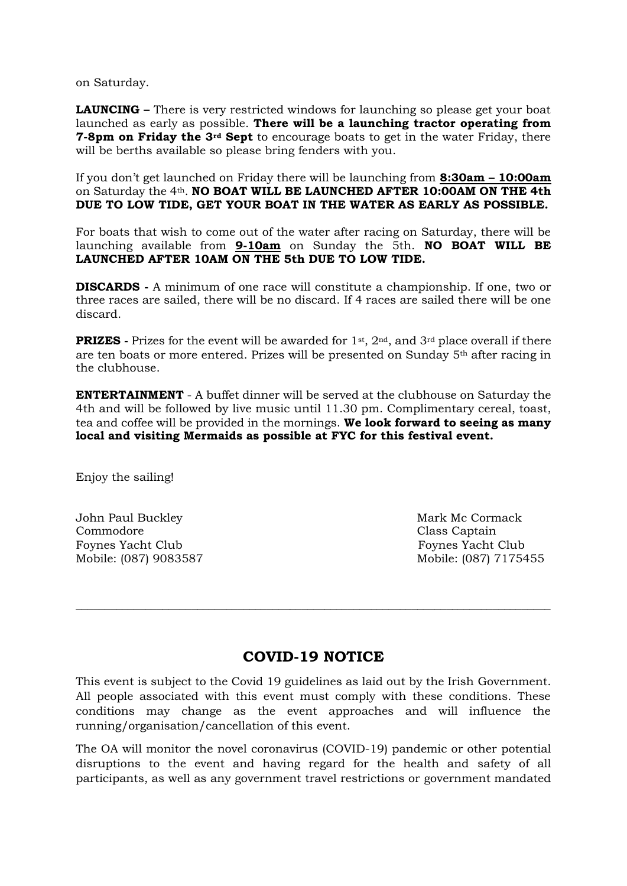on Saturday.

**LAUNCING –** There is very restricted windows for launching so please get your boat launched as early as possible. **There will be a launching tractor operating from 7-8pm on Friday the 3rd Sept** to encourage boats to get in the water Friday, there will be berths available so please bring fenders with you.

If you don't get launched on Friday there will be launching from **8:30am – 10:00am** on Saturday the 4th. **NO BOAT WILL BE LAUNCHED AFTER 10:00AM ON THE 4th DUE TO LOW TIDE, GET YOUR BOAT IN THE WATER AS EARLY AS POSSIBLE.**

For boats that wish to come out of the water after racing on Saturday, there will be launching available from **9-10am** on Sunday the 5th. **NO BOAT WILL BE LAUNCHED AFTER 10AM ON THE 5th DUE TO LOW TIDE.** 

**DISCARDS -** A minimum of one race will constitute a championship. If one, two or three races are sailed, there will be no discard. If 4 races are sailed there will be one discard.

**PRIZES** - Prizes for the event will be awarded for 1<sup>st</sup>, 2<sup>nd</sup>, and 3<sup>rd</sup> place overall if there are ten boats or more entered. Prizes will be presented on Sunday  $5<sup>th</sup>$  after racing in the clubhouse.

**ENTERTAINMENT** - A buffet dinner will be served at the clubhouse on Saturday the 4th and will be followed by live music until 11.30 pm. Complimentary cereal, toast, tea and coffee will be provided in the mornings. **We look forward to seeing as many local and visiting Mermaids as possible at FYC for this festival event.**

Enjoy the sailing!

John Paul Buckley National Buckley (1990) and Mark Mc Cormack Commodore Class Captain Foynes Yacht Club Foynes Yacht Club

Mobile: (087) 9083587 Mobile: (087) 7175455

### **COVID-19 NOTICE**

\_\_\_\_\_\_\_\_\_\_\_\_\_\_\_\_\_\_\_\_\_\_\_\_\_\_\_\_\_\_\_\_\_\_\_\_\_\_\_\_\_\_\_\_\_\_\_\_\_\_\_\_\_\_\_\_\_\_\_\_\_\_\_\_\_\_\_\_\_\_\_\_\_\_\_\_\_\_\_\_\_\_

This event is subject to the Covid 19 guidelines as laid out by the Irish Government. All people associated with this event must comply with these conditions. These conditions may change as the event approaches and will influence the running/organisation/cancellation of this event.

The OA will monitor the novel coronavirus (COVID-19) pandemic or other potential disruptions to the event and having regard for the health and safety of all participants, as well as any government travel restrictions or government mandated